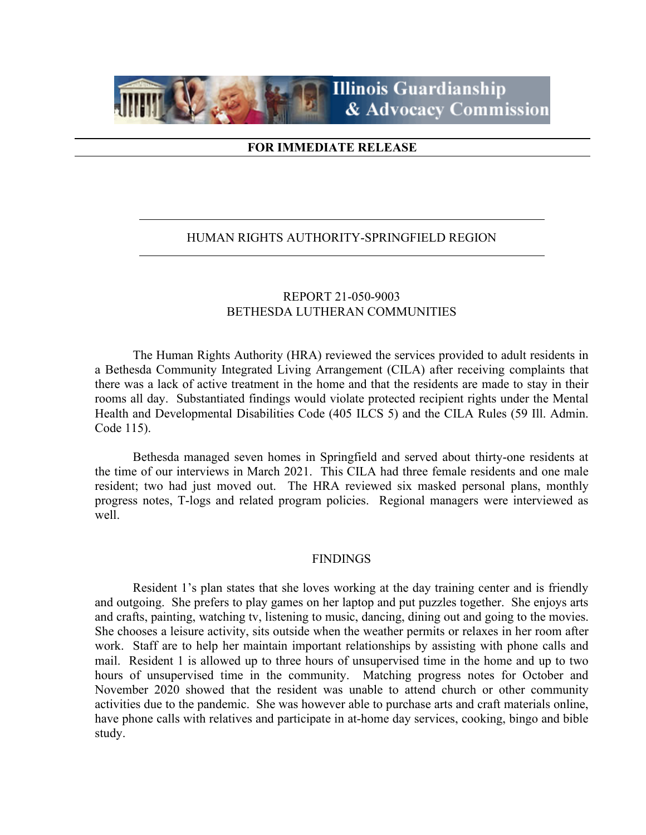

## **FOR IMMEDIATE RELEASE**

### HUMAN RIGHTS AUTHORITY-SPRINGFIELD REGION

# REPORT 21-050-9003 BETHESDA LUTHERAN COMMUNITIES

The Human Rights Authority (HRA) reviewed the services provided to adult residents in a Bethesda Community Integrated Living Arrangement (CILA) after receiving complaints that there was a lack of active treatment in the home and that the residents are made to stay in their rooms all day. Substantiated findings would violate protected recipient rights under the Mental Health and Developmental Disabilities Code (405 ILCS 5) and the CILA Rules (59 Ill. Admin. Code 115).

Bethesda managed seven homes in Springfield and served about thirty-one residents at the time of our interviews in March 2021. This CILA had three female residents and one male resident; two had just moved out. The HRA reviewed six masked personal plans, monthly progress notes, T-logs and related program policies. Regional managers were interviewed as well.

#### **FINDINGS**

Resident 1's plan states that she loves working at the day training center and is friendly and outgoing. She prefers to play games on her laptop and put puzzles together. She enjoys arts and crafts, painting, watching tv, listening to music, dancing, dining out and going to the movies. She chooses a leisure activity, sits outside when the weather permits or relaxes in her room after work. Staff are to help her maintain important relationships by assisting with phone calls and mail. Resident 1 is allowed up to three hours of unsupervised time in the home and up to two hours of unsupervised time in the community. Matching progress notes for October and November 2020 showed that the resident was unable to attend church or other community activities due to the pandemic. She was however able to purchase arts and craft materials online, have phone calls with relatives and participate in at-home day services, cooking, bingo and bible study.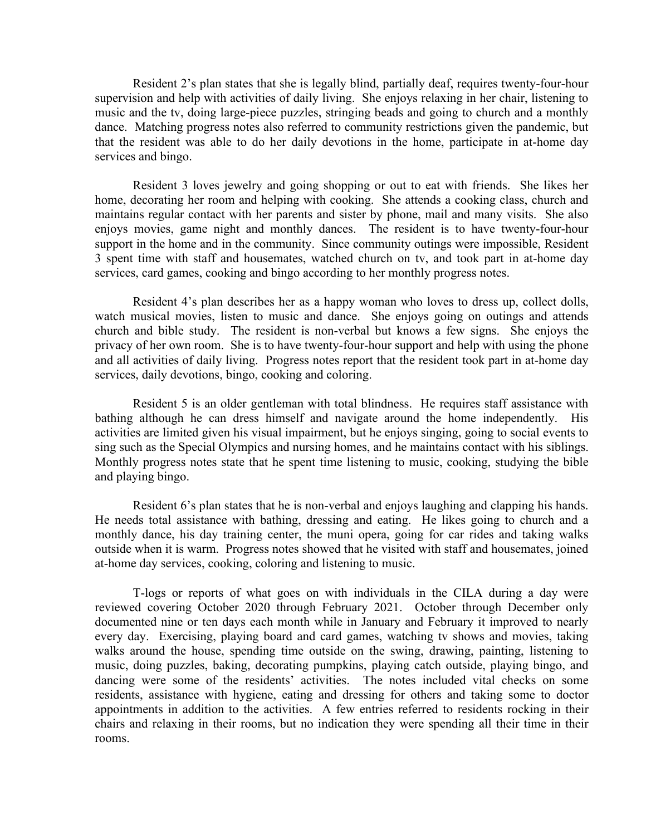Resident 2's plan states that she is legally blind, partially deaf, requires twenty-four-hour supervision and help with activities of daily living. She enjoys relaxing in her chair, listening to music and the tv, doing large-piece puzzles, stringing beads and going to church and a monthly dance. Matching progress notes also referred to community restrictions given the pandemic, but that the resident was able to do her daily devotions in the home, participate in at-home day services and bingo.

Resident 3 loves jewelry and going shopping or out to eat with friends. She likes her home, decorating her room and helping with cooking. She attends a cooking class, church and maintains regular contact with her parents and sister by phone, mail and many visits. She also enjoys movies, game night and monthly dances. The resident is to have twenty-four-hour support in the home and in the community. Since community outings were impossible, Resident 3 spent time with staff and housemates, watched church on tv, and took part in at-home day services, card games, cooking and bingo according to her monthly progress notes.

Resident 4's plan describes her as a happy woman who loves to dress up, collect dolls, watch musical movies, listen to music and dance. She enjoys going on outings and attends church and bible study. The resident is non-verbal but knows a few signs. She enjoys the privacy of her own room. She is to have twenty-four-hour support and help with using the phone and all activities of daily living. Progress notes report that the resident took part in at-home day services, daily devotions, bingo, cooking and coloring.

Resident 5 is an older gentleman with total blindness. He requires staff assistance with bathing although he can dress himself and navigate around the home independently. His activities are limited given his visual impairment, but he enjoys singing, going to social events to sing such as the Special Olympics and nursing homes, and he maintains contact with his siblings. Monthly progress notes state that he spent time listening to music, cooking, studying the bible and playing bingo.

Resident 6's plan states that he is non-verbal and enjoys laughing and clapping his hands. He needs total assistance with bathing, dressing and eating. He likes going to church and a monthly dance, his day training center, the muni opera, going for car rides and taking walks outside when it is warm. Progress notes showed that he visited with staff and housemates, joined at-home day services, cooking, coloring and listening to music.

T-logs or reports of what goes on with individuals in the CILA during a day were reviewed covering October 2020 through February 2021. October through December only documented nine or ten days each month while in January and February it improved to nearly every day. Exercising, playing board and card games, watching tv shows and movies, taking walks around the house, spending time outside on the swing, drawing, painting, listening to music, doing puzzles, baking, decorating pumpkins, playing catch outside, playing bingo, and dancing were some of the residents' activities. The notes included vital checks on some residents, assistance with hygiene, eating and dressing for others and taking some to doctor appointments in addition to the activities. A few entries referred to residents rocking in their chairs and relaxing in their rooms, but no indication they were spending all their time in their rooms.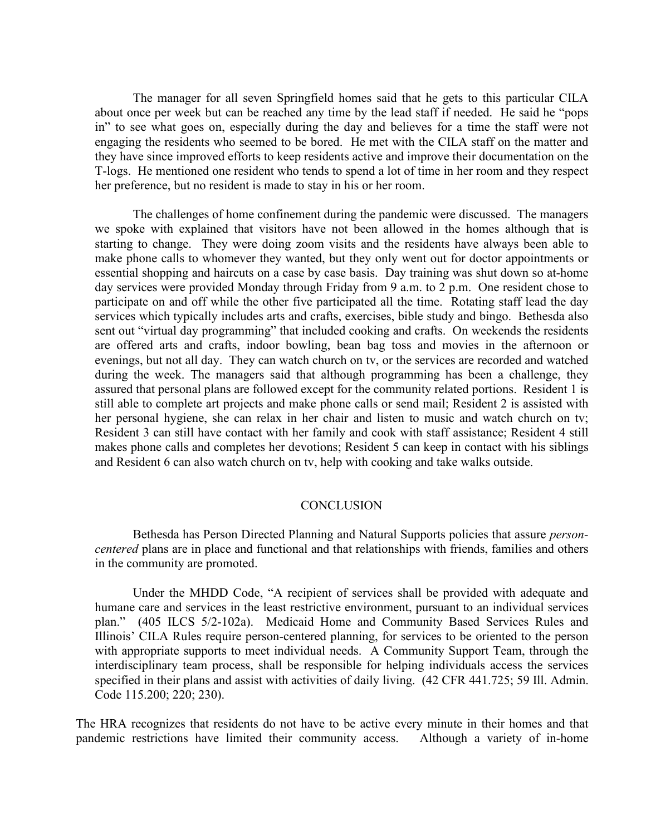The manager for all seven Springfield homes said that he gets to this particular CILA about once per week but can be reached any time by the lead staff if needed. He said he "pops in" to see what goes on, especially during the day and believes for a time the staff were not engaging the residents who seemed to be bored. He met with the CILA staff on the matter and they have since improved efforts to keep residents active and improve their documentation on the T-logs. He mentioned one resident who tends to spend a lot of time in her room and they respect her preference, but no resident is made to stay in his or her room.

The challenges of home confinement during the pandemic were discussed. The managers we spoke with explained that visitors have not been allowed in the homes although that is starting to change. They were doing zoom visits and the residents have always been able to make phone calls to whomever they wanted, but they only went out for doctor appointments or essential shopping and haircuts on a case by case basis. Day training was shut down so at-home day services were provided Monday through Friday from 9 a.m. to 2 p.m. One resident chose to participate on and off while the other five participated all the time. Rotating staff lead the day services which typically includes arts and crafts, exercises, bible study and bingo. Bethesda also sent out "virtual day programming" that included cooking and crafts. On weekends the residents are offered arts and crafts, indoor bowling, bean bag toss and movies in the afternoon or evenings, but not all day. They can watch church on tv, or the services are recorded and watched during the week. The managers said that although programming has been a challenge, they assured that personal plans are followed except for the community related portions. Resident 1 is still able to complete art projects and make phone calls or send mail; Resident 2 is assisted with her personal hygiene, she can relax in her chair and listen to music and watch church on tv; Resident 3 can still have contact with her family and cook with staff assistance; Resident 4 still makes phone calls and completes her devotions; Resident 5 can keep in contact with his siblings and Resident 6 can also watch church on tv, help with cooking and take walks outside.

#### **CONCLUSION**

Bethesda has Person Directed Planning and Natural Supports policies that assure *personcentered* plans are in place and functional and that relationships with friends, families and others in the community are promoted.

Under the MHDD Code, "A recipient of services shall be provided with adequate and humane care and services in the least restrictive environment, pursuant to an individual services plan." (405 ILCS 5/2-102a). Medicaid Home and Community Based Services Rules and Illinois' CILA Rules require person-centered planning, for services to be oriented to the person with appropriate supports to meet individual needs. A Community Support Team, through the interdisciplinary team process, shall be responsible for helping individuals access the services specified in their plans and assist with activities of daily living. (42 CFR 441.725; 59 Ill. Admin. Code 115.200; 220; 230).

The HRA recognizes that residents do not have to be active every minute in their homes and that pandemic restrictions have limited their community access. Although a variety of in-home